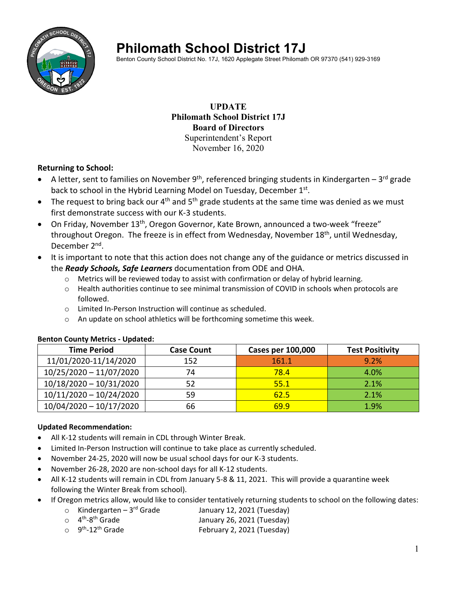

# **Philomath School District 17J**

Benton County School District No. 17J, 1620 Applegate Street Philomath OR 97370 (541) 929-3169

## **UPDATE Philomath School District 17J Board of Directors**  Superintendent's Report November 16, 2020

## **Returning to School:**

- A letter, sent to families on November 9<sup>th</sup>, referenced bringing students in Kindergarten 3<sup>rd</sup> grade back to school in the Hybrid Learning Model on Tuesday, December 1st.
- The request to bring back our  $4<sup>th</sup>$  and  $5<sup>th</sup>$  grade students at the same time was denied as we must first demonstrate success with our K‐3 students.
- On Friday, November 13<sup>th</sup>, Oregon Governor, Kate Brown, announced a two-week "freeze" throughout Oregon. The freeze is in effect from Wednesday, November 18<sup>th</sup>, until Wednesday, December 2nd.
- It is important to note that this action does not change any of the guidance or metrics discussed in the *Ready Schools, Safe Learners* documentation from ODE and OHA.
	- o Metrics will be reviewed today to assist with confirmation or delay of hybrid learning.
	- o Health authorities continue to see minimal transmission of COVID in schools when protocols are followed.
	- o Limited In‐Person Instruction will continue as scheduled.
	- o An update on school athletics will be forthcoming sometime this week.

| <b>Time Period</b>        | <b>Case Count</b> | <b>Cases per 100,000</b> | <b>Test Positivity</b> |
|---------------------------|-------------------|--------------------------|------------------------|
| 11/01/2020-11/14/2020     | 152               | 161.1                    | 9.2%                   |
| 10/25/2020 - 11/07/2020   | 74                | 78.4                     | 4.0%                   |
| $10/18/2020 - 10/31/2020$ | 52                | 55.1                     | 2.1%                   |
| $10/11/2020 - 10/24/2020$ | 59                | 62.5                     | 2.1%                   |
| $10/04/2020 - 10/17/2020$ | 66                | 69.9                     | 1.9%                   |

#### **Benton County Metrics ‐ Updated:**

#### **Updated Recommendation:**

- All K‐12 students will remain in CDL through Winter Break.
- Limited In‐Person Instruction will continue to take place as currently scheduled.
- November 24‐25, 2020 will now be usual school days for our K‐3 students.
- November 26‐28, 2020 are non‐school days for all K‐12 students.
- All K-12 students will remain in CDL from January 5-8 & 11, 2021. This will provide a quarantine week following the Winter Break from school).
- If Oregon metrics allow, would like to consider tentatively returning students to school on the following dates:
	- $\circ$  Kindergarten 3<sup>rd</sup> Grade January 12, 2021 (Tuesday)
	- o 4th‐8th Grade January 26, 2021 (Tuesday)
	- February 2, 2021 (Tuesday)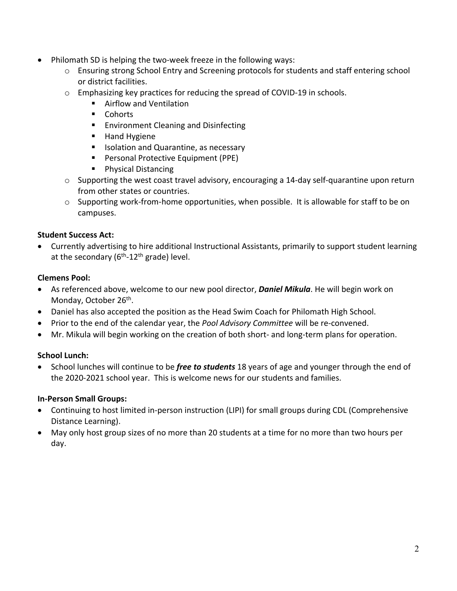- Philomath SD is helping the two-week freeze in the following ways:
	- o Ensuring strong School Entry and Screening protocols for students and staff entering school or district facilities.
	- o Emphasizing key practices for reducing the spread of COVID‐19 in schools.
		- Airflow and Ventilation
		- **Cohorts**
		- **Environment Cleaning and Disinfecting**
		- **Hand Hygiene**
		- Isolation and Quarantine, as necessary
		- **Personal Protective Equipment (PPE)**
		- **Physical Distancing**
	- o Supporting the west coast travel advisory, encouraging a 14‐day self‐quarantine upon return from other states or countries.
	- o Supporting work‐from‐home opportunities, when possible. It is allowable for staff to be on campuses.

## **Student Success Act:**

 Currently advertising to hire additional Instructional Assistants, primarily to support student learning at the secondary ( $6<sup>th</sup>$ -12<sup>th</sup> grade) level.

## **Clemens Pool:**

- As referenced above, welcome to our new pool director, *Daniel Mikula*. He will begin work on Monday, October 26<sup>th</sup>.
- Daniel has also accepted the position as the Head Swim Coach for Philomath High School.
- Prior to the end of the calendar year, the *Pool Advisory Committee* will be re-convened.
- Mr. Mikula will begin working on the creation of both short- and long-term plans for operation.

## **School Lunch:**

• School lunches will continue to be *free to students* 18 years of age and younger through the end of the 2020‐2021 school year. This is welcome news for our students and families.

## **In‐Person Small Groups:**

- Continuing to host limited in-person instruction (LIPI) for small groups during CDL (Comprehensive Distance Learning).
- May only host group sizes of no more than 20 students at a time for no more than two hours per day.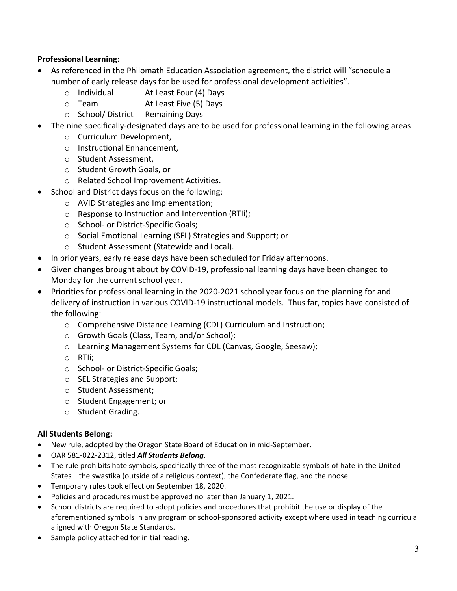## **Professional Learning:**

- As referenced in the Philomath Education Association agreement, the district will "schedule a number of early release days for be used for professional development activities".
	- o Individual At Least Four (4) Days
	- o Team At Least Five (5) Days
	- o School/ District Remaining Days
- The nine specifically‐designated days are to be used for professional learning in the following areas:
	- o Curriculum Development,
	- o Instructional Enhancement,
	- o Student Assessment,
	- o Student Growth Goals, or
	- o Related School Improvement Activities.
- School and District days focus on the following:
	- o AVID Strategies and Implementation;
	- o Response to Instruction and Intervention (RTIi);
	- o School‐ or District‐Specific Goals;
	- o Social Emotional Learning (SEL) Strategies and Support; or
	- o Student Assessment (Statewide and Local).
- In prior years, early release days have been scheduled for Friday afternoons.
- Given changes brought about by COVID‐19, professional learning days have been changed to Monday for the current school year.
- Priorities for professional learning in the 2020‐2021 school year focus on the planning for and delivery of instruction in various COVID‐19 instructional models. Thus far, topics have consisted of the following:
	- o Comprehensive Distance Learning (CDL) Curriculum and Instruction;
	- o Growth Goals (Class, Team, and/or School);
	- o Learning Management Systems for CDL (Canvas, Google, Seesaw);
	- o RTIi;
	- o School‐ or District‐Specific Goals;
	- o SEL Strategies and Support;
	- o Student Assessment;
	- o Student Engagement; or
	- o Student Grading.

## **All Students Belong:**

- New rule, adopted by the Oregon State Board of Education in mid‐September.
- OAR 581‐022‐2312, titled *All Students Belong*.
- The rule prohibits hate symbols, specifically three of the most recognizable symbols of hate in the United States—the swastika (outside of a religious context), the Confederate flag, and the noose.
- Temporary rules took effect on September 18, 2020.
- Policies and procedures must be approved no later than January 1, 2021.
- School districts are required to adopt policies and procedures that prohibit the use or display of the aforementioned symbols in any program or school‐sponsored activity except where used in teaching curricula aligned with Oregon State Standards.
- Sample policy attached for initial reading.